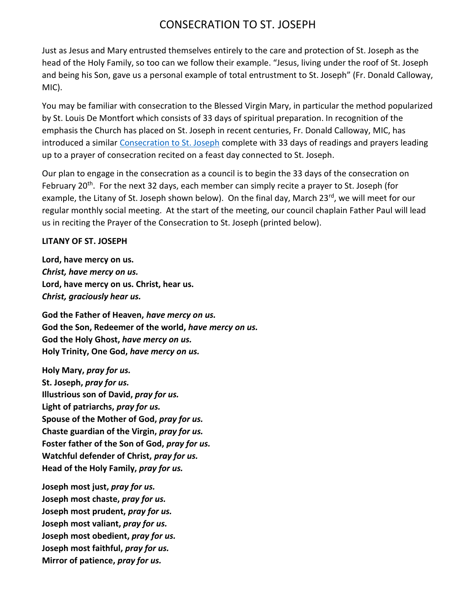## CONSECRATION TO ST. JOSEPH

Just as Jesus and Mary entrusted themselves entirely to the care and protection of St. Joseph as the head of the Holy Family, so too can we follow their example. "Jesus, living under the roof of St. Joseph and being his Son, gave us a personal example of total entrustment to St. Joseph" (Fr. Donald Calloway, MIC).

You may be familiar with consecration to the Blessed Virgin Mary, in particular the method popularized by St. Louis De Montfort which consists of 33 days of spiritual preparation. In recognition of the emphasis the Church has placed on St. Joseph in recent centuries, Fr. Donald Calloway, MIC, has introduced a similar [Consecration to St. Joseph](https://www.consecrationtostjoseph.org/) complete with 33 days of readings and prayers leading up to a prayer of consecration recited on a feast day connected to St. Joseph.

Our plan to engage in the consecration as a council is to begin the 33 days of the consecration on February 20<sup>th</sup>. For the next 32 days, each member can simply recite a prayer to St. Joseph (for example, the Litany of St. Joseph shown below). On the final day, March 23<sup>rd</sup>, we will meet for our regular monthly social meeting. At the start of the meeting, our council chaplain Father Paul will lead us in reciting the Prayer of the Consecration to St. Joseph (printed below).

## **LITANY OF ST. JOSEPH**

**Lord, have mercy on us.**  *Christ, have mercy on us.* **Lord, have mercy on us. Christ, hear us.**  *Christ, graciously hear us.*

**God the Father of Heaven,** *have mercy on us.* **God the Son, Redeemer of the world,** *have mercy on us.* **God the Holy Ghost,** *have mercy on us.* **Holy Trinity, One God,** *have mercy on us.*

**Holy Mary,** *pray for us.* **St. Joseph,** *pray for us.* **Illustrious son of David,** *pray for us.* **Light of patriarchs,** *pray for us.* **Spouse of the Mother of God,** *pray for us.* **Chaste guardian of the Virgin,** *pray for us.* **Foster father of the Son of God,** *pray for us.* **Watchful defender of Christ,** *pray for us.* **Head of the Holy Family,** *pray for us.*

**Joseph most just,** *pray for us.* **Joseph most chaste,** *pray for us.* **Joseph most prudent,** *pray for us.* **Joseph most valiant,** *pray for us.* **Joseph most obedient,** *pray for us.* **Joseph most faithful,** *pray for us.* **Mirror of patience,** *pray for us.*